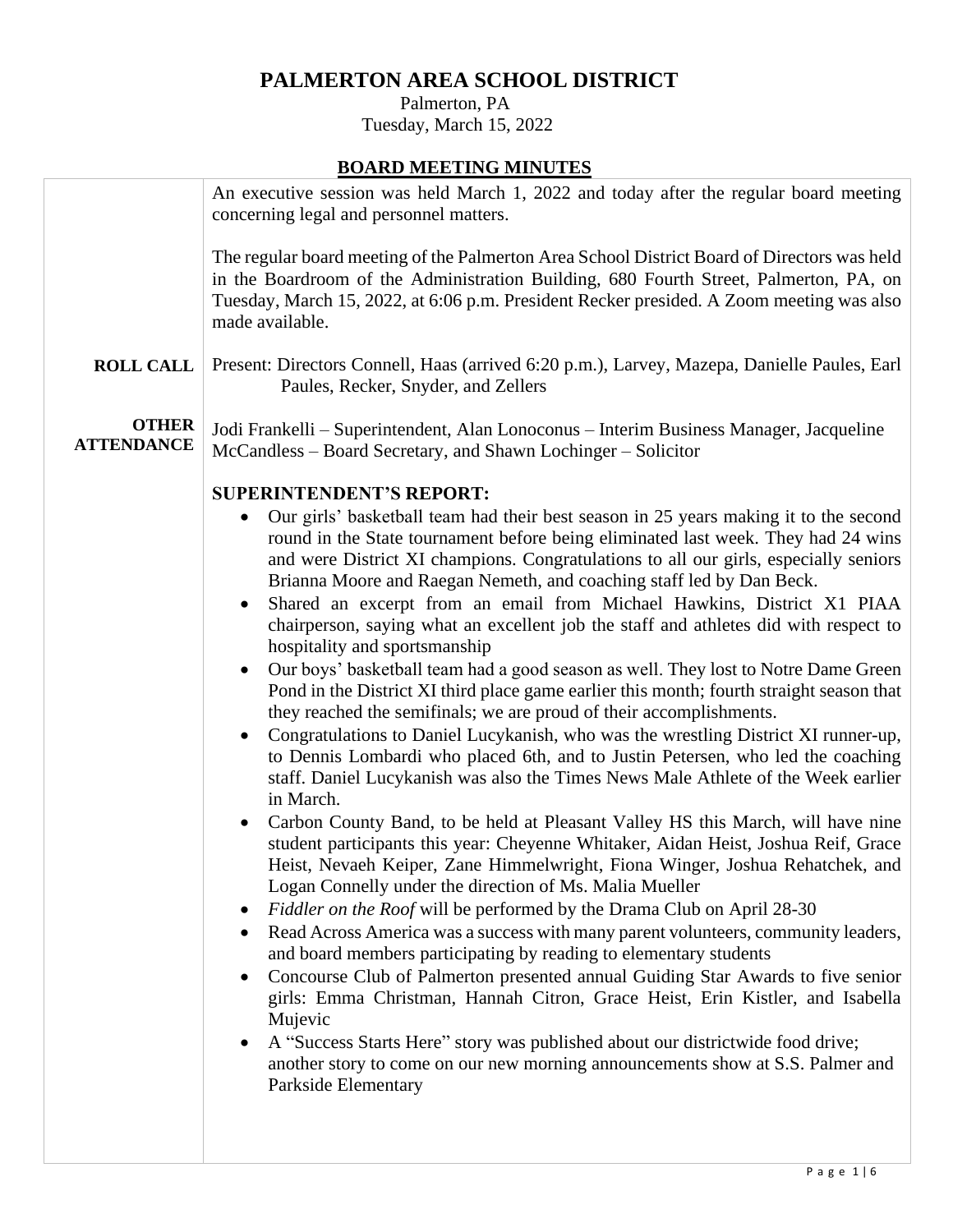## **PALMERTON AREA SCHOOL DISTRICT**

 Palmerton, PA Tuesday, March 15, 2022

## **BOARD MEETING MINUTES**

|                                                               | An executive session was held March 1, 2022 and today after the regular board meeting<br>concerning legal and personnel matters.                                                                                                                                                                                                                                                                                                                                                                                                                                                                                                                                                                                                                                                                                                                                                                                                                                                                                                                                                                                                                                                                                                                                                                                                                                                                                                                                                                                                                                                                                                                                                                                                                                                                                                                                                                                                                                                                                                                      |
|---------------------------------------------------------------|-------------------------------------------------------------------------------------------------------------------------------------------------------------------------------------------------------------------------------------------------------------------------------------------------------------------------------------------------------------------------------------------------------------------------------------------------------------------------------------------------------------------------------------------------------------------------------------------------------------------------------------------------------------------------------------------------------------------------------------------------------------------------------------------------------------------------------------------------------------------------------------------------------------------------------------------------------------------------------------------------------------------------------------------------------------------------------------------------------------------------------------------------------------------------------------------------------------------------------------------------------------------------------------------------------------------------------------------------------------------------------------------------------------------------------------------------------------------------------------------------------------------------------------------------------------------------------------------------------------------------------------------------------------------------------------------------------------------------------------------------------------------------------------------------------------------------------------------------------------------------------------------------------------------------------------------------------------------------------------------------------------------------------------------------------|
|                                                               | The regular board meeting of the Palmerton Area School District Board of Directors was held<br>in the Boardroom of the Administration Building, 680 Fourth Street, Palmerton, PA, on<br>Tuesday, March 15, 2022, at 6:06 p.m. President Recker presided. A Zoom meeting was also<br>made available.                                                                                                                                                                                                                                                                                                                                                                                                                                                                                                                                                                                                                                                                                                                                                                                                                                                                                                                                                                                                                                                                                                                                                                                                                                                                                                                                                                                                                                                                                                                                                                                                                                                                                                                                                   |
| <b>ROLL CALL</b>                                              | Present: Directors Connell, Haas (arrived 6:20 p.m.), Larvey, Mazepa, Danielle Paules, Earl<br>Paules, Recker, Snyder, and Zellers                                                                                                                                                                                                                                                                                                                                                                                                                                                                                                                                                                                                                                                                                                                                                                                                                                                                                                                                                                                                                                                                                                                                                                                                                                                                                                                                                                                                                                                                                                                                                                                                                                                                                                                                                                                                                                                                                                                    |
| <b>OTHER</b><br><b>ATTENDANCE</b>                             | Jodi Frankelli – Superintendent, Alan Lonoconus – Interim Business Manager, Jacqueline<br>McCandless - Board Secretary, and Shawn Lochinger - Solicitor                                                                                                                                                                                                                                                                                                                                                                                                                                                                                                                                                                                                                                                                                                                                                                                                                                                                                                                                                                                                                                                                                                                                                                                                                                                                                                                                                                                                                                                                                                                                                                                                                                                                                                                                                                                                                                                                                               |
| $\bullet$<br>$\bullet$<br>$\bullet$<br>$\bullet$<br>$\bullet$ | <b>SUPERINTENDENT'S REPORT:</b><br>Our girls' basketball team had their best season in 25 years making it to the second<br>round in the State tournament before being eliminated last week. They had 24 wins<br>and were District XI champions. Congratulations to all our girls, especially seniors<br>Brianna Moore and Raegan Nemeth, and coaching staff led by Dan Beck.<br>Shared an excerpt from an email from Michael Hawkins, District X1 PIAA<br>chairperson, saying what an excellent job the staff and athletes did with respect to<br>hospitality and sportsmanship<br>Our boys' basketball team had a good season as well. They lost to Notre Dame Green<br>Pond in the District XI third place game earlier this month; fourth straight season that<br>they reached the semifinals; we are proud of their accomplishments.<br>Congratulations to Daniel Lucykanish, who was the wrestling District XI runner-up,<br>to Dennis Lombardi who placed 6th, and to Justin Petersen, who led the coaching<br>staff. Daniel Lucykanish was also the Times News Male Athlete of the Week earlier<br>in March.<br>Carbon County Band, to be held at Pleasant Valley HS this March, will have nine<br>student participants this year: Cheyenne Whitaker, Aidan Heist, Joshua Reif, Grace<br>Heist, Nevaeh Keiper, Zane Himmelwright, Fiona Winger, Joshua Rehatchek, and<br>Logan Connelly under the direction of Ms. Malia Mueller<br>Fiddler on the Roof will be performed by the Drama Club on April 28-30<br>Read Across America was a success with many parent volunteers, community leaders,<br>and board members participating by reading to elementary students<br>Concourse Club of Palmerton presented annual Guiding Star Awards to five senior<br>girls: Emma Christman, Hannah Citron, Grace Heist, Erin Kistler, and Isabella<br>Mujevic<br>A "Success Starts Here" story was published about our districtwide food drive;<br>another story to come on our new morning announcements show at S.S. Palmer and<br>Parkside Elementary |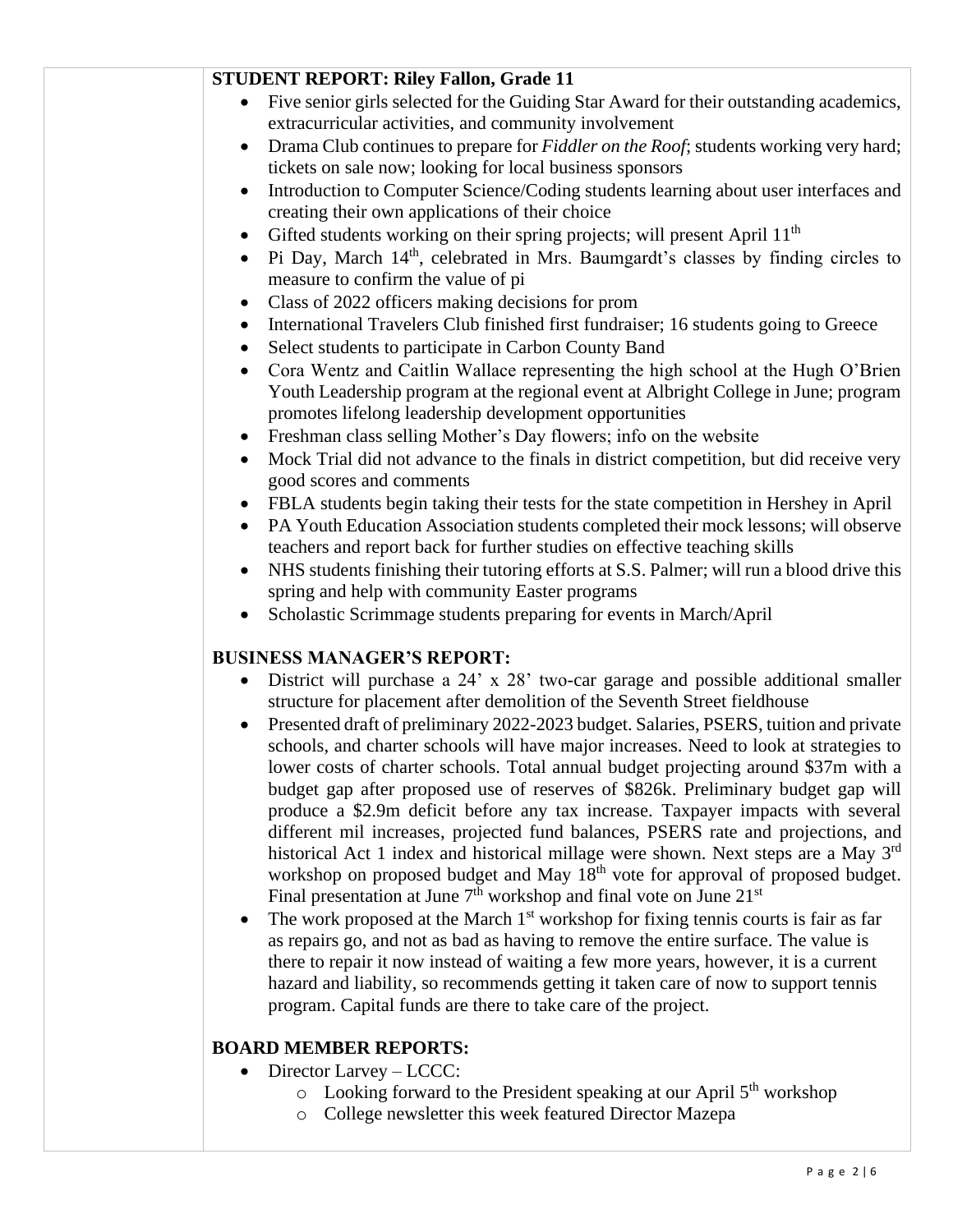| <b>STUDENT REPORT: Riley Fallon, Grade 11</b>                                                                                                                                                                                                                                                                                                                                                                                                                                                                                                                                                                                                                                                                                                                                                                                                                                                                                                                                                                                                                                                                                                                                                                                                                                                                                                 |
|-----------------------------------------------------------------------------------------------------------------------------------------------------------------------------------------------------------------------------------------------------------------------------------------------------------------------------------------------------------------------------------------------------------------------------------------------------------------------------------------------------------------------------------------------------------------------------------------------------------------------------------------------------------------------------------------------------------------------------------------------------------------------------------------------------------------------------------------------------------------------------------------------------------------------------------------------------------------------------------------------------------------------------------------------------------------------------------------------------------------------------------------------------------------------------------------------------------------------------------------------------------------------------------------------------------------------------------------------|
| Five senior girls selected for the Guiding Star Award for their outstanding academics,<br>extracurricular activities, and community involvement                                                                                                                                                                                                                                                                                                                                                                                                                                                                                                                                                                                                                                                                                                                                                                                                                                                                                                                                                                                                                                                                                                                                                                                               |
| Drama Club continues to prepare for Fiddler on the Roof; students working very hard;<br>$\bullet$                                                                                                                                                                                                                                                                                                                                                                                                                                                                                                                                                                                                                                                                                                                                                                                                                                                                                                                                                                                                                                                                                                                                                                                                                                             |
| tickets on sale now; looking for local business sponsors                                                                                                                                                                                                                                                                                                                                                                                                                                                                                                                                                                                                                                                                                                                                                                                                                                                                                                                                                                                                                                                                                                                                                                                                                                                                                      |
| Introduction to Computer Science/Coding students learning about user interfaces and<br>$\bullet$<br>creating their own applications of their choice                                                                                                                                                                                                                                                                                                                                                                                                                                                                                                                                                                                                                                                                                                                                                                                                                                                                                                                                                                                                                                                                                                                                                                                           |
| Gifted students working on their spring projects; will present April 11 <sup>th</sup><br>$\bullet$                                                                                                                                                                                                                                                                                                                                                                                                                                                                                                                                                                                                                                                                                                                                                                                                                                                                                                                                                                                                                                                                                                                                                                                                                                            |
| Pi Day, March 14 <sup>th</sup> , celebrated in Mrs. Baumgardt's classes by finding circles to<br>$\bullet$<br>measure to confirm the value of pi                                                                                                                                                                                                                                                                                                                                                                                                                                                                                                                                                                                                                                                                                                                                                                                                                                                                                                                                                                                                                                                                                                                                                                                              |
| Class of 2022 officers making decisions for prom<br>$\bullet$                                                                                                                                                                                                                                                                                                                                                                                                                                                                                                                                                                                                                                                                                                                                                                                                                                                                                                                                                                                                                                                                                                                                                                                                                                                                                 |
| International Travelers Club finished first fundraiser; 16 students going to Greece<br>٠<br>Select students to participate in Carbon County Band<br>$\bullet$                                                                                                                                                                                                                                                                                                                                                                                                                                                                                                                                                                                                                                                                                                                                                                                                                                                                                                                                                                                                                                                                                                                                                                                 |
| Cora Wentz and Caitlin Wallace representing the high school at the Hugh O'Brien<br>٠<br>Youth Leadership program at the regional event at Albright College in June; program<br>promotes lifelong leadership development opportunities                                                                                                                                                                                                                                                                                                                                                                                                                                                                                                                                                                                                                                                                                                                                                                                                                                                                                                                                                                                                                                                                                                         |
| Freshman class selling Mother's Day flowers; info on the website<br>٠                                                                                                                                                                                                                                                                                                                                                                                                                                                                                                                                                                                                                                                                                                                                                                                                                                                                                                                                                                                                                                                                                                                                                                                                                                                                         |
| Mock Trial did not advance to the finals in district competition, but did receive very<br>$\bullet$<br>good scores and comments                                                                                                                                                                                                                                                                                                                                                                                                                                                                                                                                                                                                                                                                                                                                                                                                                                                                                                                                                                                                                                                                                                                                                                                                               |
| FBLA students begin taking their tests for the state competition in Hershey in April<br>٠                                                                                                                                                                                                                                                                                                                                                                                                                                                                                                                                                                                                                                                                                                                                                                                                                                                                                                                                                                                                                                                                                                                                                                                                                                                     |
| PA Youth Education Association students completed their mock lessons; will observe<br>$\bullet$                                                                                                                                                                                                                                                                                                                                                                                                                                                                                                                                                                                                                                                                                                                                                                                                                                                                                                                                                                                                                                                                                                                                                                                                                                               |
| teachers and report back for further studies on effective teaching skills                                                                                                                                                                                                                                                                                                                                                                                                                                                                                                                                                                                                                                                                                                                                                                                                                                                                                                                                                                                                                                                                                                                                                                                                                                                                     |
| NHS students finishing their tutoring efforts at S.S. Palmer; will run a blood drive this<br>$\bullet$                                                                                                                                                                                                                                                                                                                                                                                                                                                                                                                                                                                                                                                                                                                                                                                                                                                                                                                                                                                                                                                                                                                                                                                                                                        |
| spring and help with community Easter programs                                                                                                                                                                                                                                                                                                                                                                                                                                                                                                                                                                                                                                                                                                                                                                                                                                                                                                                                                                                                                                                                                                                                                                                                                                                                                                |
|                                                                                                                                                                                                                                                                                                                                                                                                                                                                                                                                                                                                                                                                                                                                                                                                                                                                                                                                                                                                                                                                                                                                                                                                                                                                                                                                               |
| Scholastic Scrimmage students preparing for events in March/April                                                                                                                                                                                                                                                                                                                                                                                                                                                                                                                                                                                                                                                                                                                                                                                                                                                                                                                                                                                                                                                                                                                                                                                                                                                                             |
| <b>BUSINESS MANAGER'S REPORT:</b>                                                                                                                                                                                                                                                                                                                                                                                                                                                                                                                                                                                                                                                                                                                                                                                                                                                                                                                                                                                                                                                                                                                                                                                                                                                                                                             |
| District will purchase a 24' x 28' two-car garage and possible additional smaller                                                                                                                                                                                                                                                                                                                                                                                                                                                                                                                                                                                                                                                                                                                                                                                                                                                                                                                                                                                                                                                                                                                                                                                                                                                             |
|                                                                                                                                                                                                                                                                                                                                                                                                                                                                                                                                                                                                                                                                                                                                                                                                                                                                                                                                                                                                                                                                                                                                                                                                                                                                                                                                               |
| structure for placement after demolition of the Seventh Street fieldhouse<br>Presented draft of preliminary 2022-2023 budget. Salaries, PSERS, tuition and private<br>schools, and charter schools will have major increases. Need to look at strategies to<br>lower costs of charter schools. Total annual budget projecting around \$37m with a<br>budget gap after proposed use of reserves of \$826k. Preliminary budget gap will<br>produce a \$2.9m deficit before any tax increase. Taxpayer impacts with several<br>different mil increases, projected fund balances, PSERS rate and projections, and<br>historical Act 1 index and historical millage were shown. Next steps are a May 3 <sup>rd</sup><br>workshop on proposed budget and May 18 <sup>th</sup> vote for approval of proposed budget.<br>Final presentation at June $7th$ workshop and final vote on June $21st$<br>The work proposed at the March 1 <sup>st</sup> workshop for fixing tennis courts is fair as far<br>$\bullet$<br>as repairs go, and not as bad as having to remove the entire surface. The value is<br>there to repair it now instead of waiting a few more years, however, it is a current<br>hazard and liability, so recommends getting it taken care of now to support tennis<br>program. Capital funds are there to take care of the project. |
|                                                                                                                                                                                                                                                                                                                                                                                                                                                                                                                                                                                                                                                                                                                                                                                                                                                                                                                                                                                                                                                                                                                                                                                                                                                                                                                                               |
| <b>BOARD MEMBER REPORTS:</b><br>Director Larvey - LCCC:                                                                                                                                                                                                                                                                                                                                                                                                                                                                                                                                                                                                                                                                                                                                                                                                                                                                                                                                                                                                                                                                                                                                                                                                                                                                                       |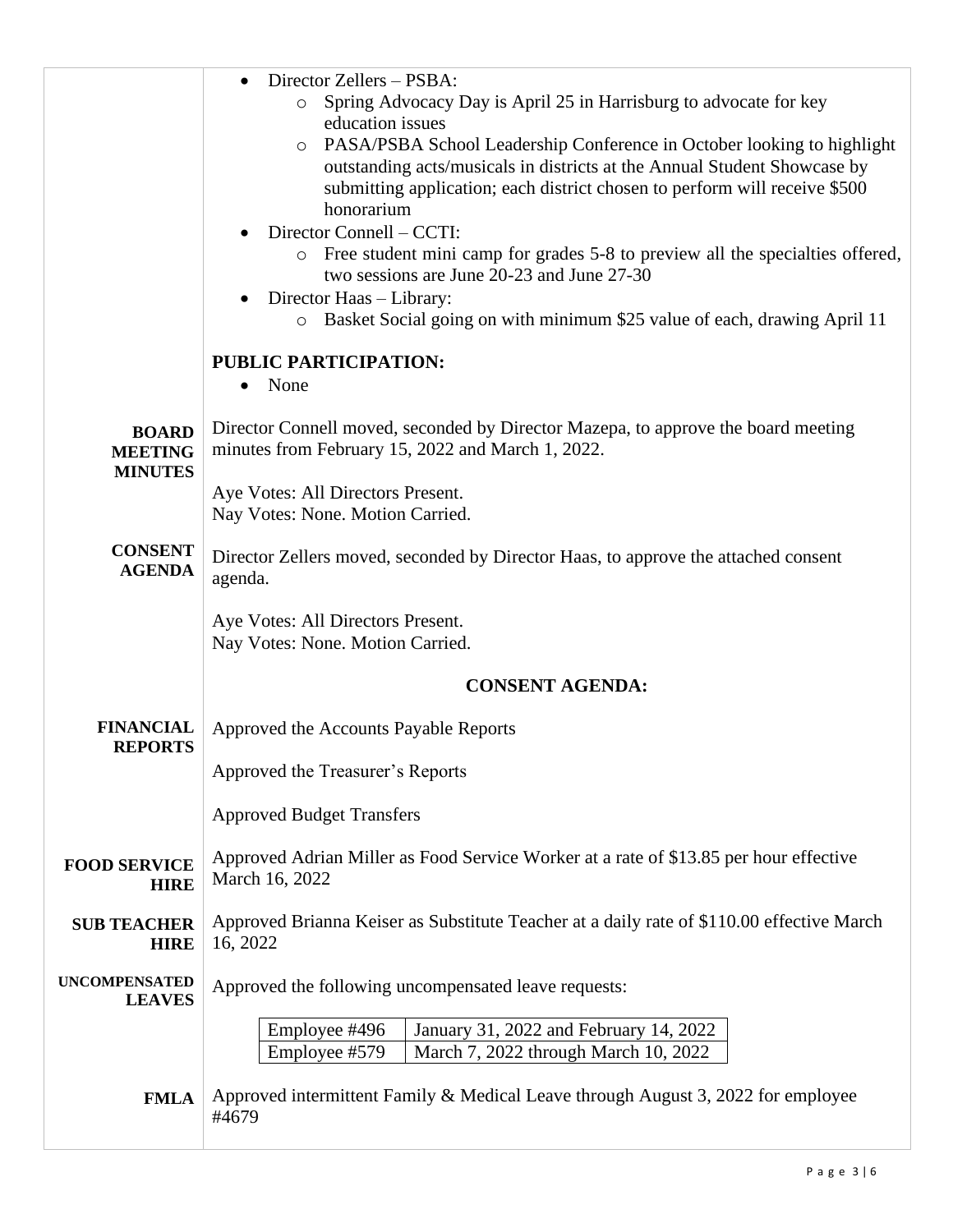|                                    | Director Zellers - PSBA:<br>$\bullet$                                                     |  |  |  |
|------------------------------------|-------------------------------------------------------------------------------------------|--|--|--|
|                                    | Spring Advocacy Day is April 25 in Harrisburg to advocate for key<br>$\circ$              |  |  |  |
|                                    | education issues                                                                          |  |  |  |
|                                    | o PASA/PSBA School Leadership Conference in October looking to highlight                  |  |  |  |
|                                    | outstanding acts/musicals in districts at the Annual Student Showcase by                  |  |  |  |
|                                    | submitting application; each district chosen to perform will receive \$500<br>honorarium  |  |  |  |
|                                    | Director Connell - CCTI:                                                                  |  |  |  |
|                                    | o Free student mini camp for grades 5-8 to preview all the specialties offered,           |  |  |  |
|                                    | two sessions are June 20-23 and June 27-30                                                |  |  |  |
|                                    | Director Haas - Library:                                                                  |  |  |  |
|                                    | o Basket Social going on with minimum \$25 value of each, drawing April 11                |  |  |  |
|                                    | <b>PUBLIC PARTICIPATION:</b>                                                              |  |  |  |
|                                    | None<br>$\bullet$                                                                         |  |  |  |
|                                    |                                                                                           |  |  |  |
| <b>BOARD</b>                       | Director Connell moved, seconded by Director Mazepa, to approve the board meeting         |  |  |  |
| <b>MEETING</b>                     | minutes from February 15, 2022 and March 1, 2022.                                         |  |  |  |
| <b>MINUTES</b>                     |                                                                                           |  |  |  |
|                                    | Aye Votes: All Directors Present.                                                         |  |  |  |
|                                    | Nay Votes: None. Motion Carried.                                                          |  |  |  |
| <b>CONSENT</b>                     | Director Zellers moved, seconded by Director Haas, to approve the attached consent        |  |  |  |
| <b>AGENDA</b>                      | agenda.                                                                                   |  |  |  |
|                                    |                                                                                           |  |  |  |
|                                    | Aye Votes: All Directors Present.                                                         |  |  |  |
|                                    | Nay Votes: None. Motion Carried.                                                          |  |  |  |
|                                    | <b>CONSENT AGENDA:</b>                                                                    |  |  |  |
|                                    |                                                                                           |  |  |  |
| <b>FINANCIAL</b>                   | Approved the Accounts Payable Reports                                                     |  |  |  |
| <b>REPORTS</b>                     |                                                                                           |  |  |  |
|                                    | Approved the Treasurer's Reports                                                          |  |  |  |
|                                    |                                                                                           |  |  |  |
|                                    | <b>Approved Budget Transfers</b>                                                          |  |  |  |
|                                    | Approved Adrian Miller as Food Service Worker at a rate of \$13.85 per hour effective     |  |  |  |
| <b>FOOD SERVICE</b><br><b>HIRE</b> | March 16, 2022                                                                            |  |  |  |
|                                    |                                                                                           |  |  |  |
| <b>SUB TEACHER</b>                 | Approved Brianna Keiser as Substitute Teacher at a daily rate of \$110.00 effective March |  |  |  |
| <b>HIRE</b>                        | 16, 2022                                                                                  |  |  |  |
| <b>UNCOMPENSATED</b>               | Approved the following uncompensated leave requests:                                      |  |  |  |
| <b>LEAVES</b>                      |                                                                                           |  |  |  |
|                                    | Employee #496<br>January 31, 2022 and February 14, 2022                                   |  |  |  |
|                                    | Employee #579<br>March 7, 2022 through March 10, 2022                                     |  |  |  |
|                                    |                                                                                           |  |  |  |
| <b>FMLA</b>                        | Approved intermittent Family & Medical Leave through August 3, 2022 for employee          |  |  |  |
|                                    | #4679                                                                                     |  |  |  |
|                                    |                                                                                           |  |  |  |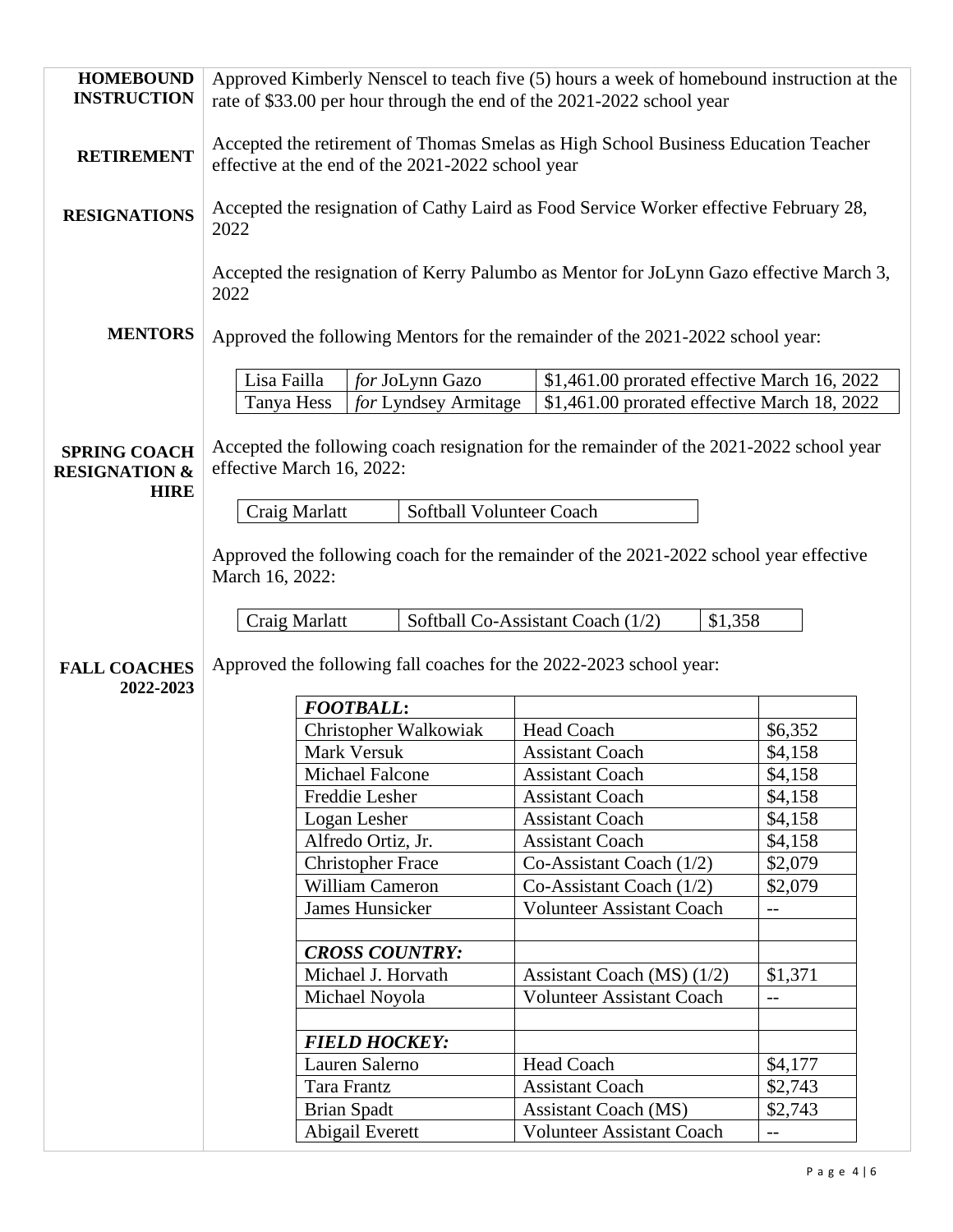| <b>HOMEBOUND</b><br><b>INSTRUCTION</b>                         | Approved Kimberly Nenscel to teach five (5) hours a week of homebound instruction at the<br>rate of \$33.00 per hour through the end of the 2021-2022 school year |                                         |                                                                    |                                                                                              |  |
|----------------------------------------------------------------|-------------------------------------------------------------------------------------------------------------------------------------------------------------------|-----------------------------------------|--------------------------------------------------------------------|----------------------------------------------------------------------------------------------|--|
| <b>RETIREMENT</b>                                              | Accepted the retirement of Thomas Smelas as High School Business Education Teacher<br>effective at the end of the 2021-2022 school year                           |                                         |                                                                    |                                                                                              |  |
| <b>RESIGNATIONS</b>                                            | Accepted the resignation of Cathy Laird as Food Service Worker effective February 28,<br>2022                                                                     |                                         |                                                                    |                                                                                              |  |
|                                                                | 2022                                                                                                                                                              |                                         |                                                                    | Accepted the resignation of Kerry Palumbo as Mentor for JoLynn Gazo effective March 3,       |  |
| <b>MENTORS</b>                                                 | Approved the following Mentors for the remainder of the 2021-2022 school year:                                                                                    |                                         |                                                                    |                                                                                              |  |
|                                                                | Lisa Failla<br>Tanya Hess                                                                                                                                         | for JoLynn Gazo<br>for Lyndsey Armitage |                                                                    | \$1,461.00 prorated effective March 16, 2022<br>\$1,461.00 prorated effective March 18, 2022 |  |
| <b>SPRING COACH</b><br><b>RESIGNATION &amp;</b><br><b>HIRE</b> | effective March 16, 2022:                                                                                                                                         |                                         |                                                                    | Accepted the following coach resignation for the remainder of the 2021-2022 school year      |  |
|                                                                | Craig Marlatt                                                                                                                                                     | Softball Volunteer Coach                |                                                                    |                                                                                              |  |
|                                                                | March 16, 2022:                                                                                                                                                   |                                         |                                                                    | Approved the following coach for the remainder of the 2021-2022 school year effective        |  |
|                                                                | Craig Marlatt                                                                                                                                                     |                                         | Softball Co-Assistant Coach (1/2)                                  | \$1,358                                                                                      |  |
| <b>FALL COACHES</b><br>2022-2023                               |                                                                                                                                                                   |                                         | Approved the following fall coaches for the 2022-2023 school year: |                                                                                              |  |
|                                                                |                                                                                                                                                                   | <b>FOOTBALL:</b>                        |                                                                    |                                                                                              |  |
|                                                                |                                                                                                                                                                   | Christopher Walkowiak                   | Head Coach                                                         | \$6,352                                                                                      |  |
|                                                                |                                                                                                                                                                   | Mark Versuk                             | <b>Assistant Coach</b>                                             | \$4,158                                                                                      |  |
|                                                                |                                                                                                                                                                   | Michael Falcone                         | <b>Assistant Coach</b>                                             | \$4,158                                                                                      |  |
|                                                                |                                                                                                                                                                   | Freddie Lesher                          | <b>Assistant Coach</b>                                             | \$4,158                                                                                      |  |
|                                                                |                                                                                                                                                                   | Logan Lesher                            | <b>Assistant Coach</b>                                             | \$4,158                                                                                      |  |
|                                                                |                                                                                                                                                                   | Alfredo Ortiz, Jr.                      | <b>Assistant Coach</b>                                             | \$4,158                                                                                      |  |
|                                                                |                                                                                                                                                                   | <b>Christopher Frace</b>                | Co-Assistant Coach (1/2)                                           | \$2,079                                                                                      |  |
|                                                                |                                                                                                                                                                   | William Cameron<br>James Hunsicker      | Co-Assistant Coach $(1/2)$<br><b>Volunteer Assistant Coach</b>     | \$2,079                                                                                      |  |
|                                                                |                                                                                                                                                                   |                                         |                                                                    | $- -$                                                                                        |  |
|                                                                |                                                                                                                                                                   | <b>CROSS COUNTRY:</b>                   |                                                                    |                                                                                              |  |
|                                                                |                                                                                                                                                                   | Michael J. Horvath                      | Assistant Coach (MS) $(1/2)$                                       | \$1,371                                                                                      |  |
|                                                                |                                                                                                                                                                   | Michael Noyola                          | <b>Volunteer Assistant Coach</b>                                   | --                                                                                           |  |
|                                                                |                                                                                                                                                                   |                                         |                                                                    |                                                                                              |  |
|                                                                |                                                                                                                                                                   | <b>FIELD HOCKEY:</b>                    |                                                                    |                                                                                              |  |
|                                                                |                                                                                                                                                                   | Lauren Salerno                          | <b>Head Coach</b>                                                  | \$4,177                                                                                      |  |
|                                                                |                                                                                                                                                                   | Tara Frantz                             | <b>Assistant Coach</b>                                             | \$2,743                                                                                      |  |
|                                                                |                                                                                                                                                                   | <b>Brian Spadt</b>                      | <b>Assistant Coach (MS)</b>                                        | \$2,743                                                                                      |  |
|                                                                |                                                                                                                                                                   | Abigail Everett                         | <b>Volunteer Assistant Coach</b>                                   | $\overline{\phantom{m}}$                                                                     |  |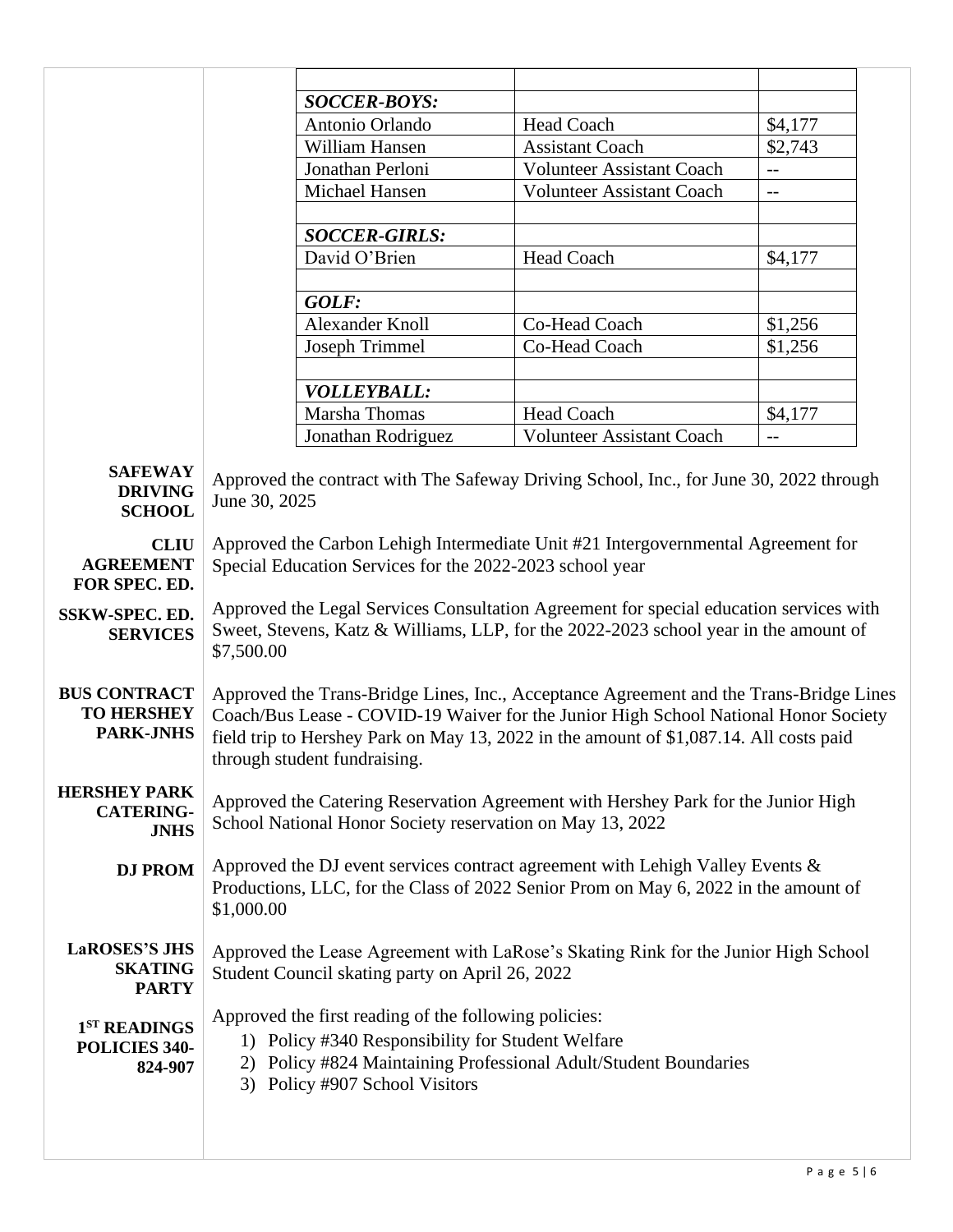|                                                              |                                                                                                                                                                                                                                                                                                         | <b>SOCCER-BOYS:</b>    |                                  |         |  |
|--------------------------------------------------------------|---------------------------------------------------------------------------------------------------------------------------------------------------------------------------------------------------------------------------------------------------------------------------------------------------------|------------------------|----------------------------------|---------|--|
|                                                              |                                                                                                                                                                                                                                                                                                         | Antonio Orlando        | <b>Head Coach</b>                | \$4,177 |  |
|                                                              |                                                                                                                                                                                                                                                                                                         | William Hansen         | <b>Assistant Coach</b>           | \$2,743 |  |
|                                                              |                                                                                                                                                                                                                                                                                                         | Jonathan Perloni       | <b>Volunteer Assistant Coach</b> | $-$     |  |
|                                                              |                                                                                                                                                                                                                                                                                                         | Michael Hansen         | <b>Volunteer Assistant Coach</b> | $-$     |  |
|                                                              |                                                                                                                                                                                                                                                                                                         |                        |                                  |         |  |
|                                                              |                                                                                                                                                                                                                                                                                                         | <b>SOCCER-GIRLS:</b>   |                                  |         |  |
|                                                              |                                                                                                                                                                                                                                                                                                         | David O'Brien          | <b>Head Coach</b>                | \$4,177 |  |
|                                                              |                                                                                                                                                                                                                                                                                                         |                        |                                  |         |  |
|                                                              |                                                                                                                                                                                                                                                                                                         | GOLF:                  |                                  |         |  |
|                                                              |                                                                                                                                                                                                                                                                                                         | <b>Alexander Knoll</b> | Co-Head Coach                    | \$1,256 |  |
|                                                              |                                                                                                                                                                                                                                                                                                         | <b>Joseph Trimmel</b>  | Co-Head Coach                    | \$1,256 |  |
|                                                              |                                                                                                                                                                                                                                                                                                         |                        |                                  |         |  |
|                                                              |                                                                                                                                                                                                                                                                                                         | <b>VOLLEYBALL:</b>     |                                  |         |  |
|                                                              |                                                                                                                                                                                                                                                                                                         | Marsha Thomas          | <b>Head Coach</b>                | \$4,177 |  |
|                                                              |                                                                                                                                                                                                                                                                                                         | Jonathan Rodriguez     | <b>Volunteer Assistant Coach</b> | $-$     |  |
| <b>SAFEWAY</b><br><b>DRIVING</b><br><b>SCHOOL</b>            | Approved the contract with The Safeway Driving School, Inc., for June 30, 2022 through<br>June 30, 2025                                                                                                                                                                                                 |                        |                                  |         |  |
| <b>CLIU</b><br><b>AGREEMENT</b><br>FOR SPEC. ED.             | Approved the Carbon Lehigh Intermediate Unit #21 Intergovernmental Agreement for<br>Special Education Services for the 2022-2023 school year                                                                                                                                                            |                        |                                  |         |  |
| <b>SSKW-SPEC. ED.</b><br><b>SERVICES</b>                     | Approved the Legal Services Consultation Agreement for special education services with<br>Sweet, Stevens, Katz & Williams, LLP, for the 2022-2023 school year in the amount of<br>\$7,500.00                                                                                                            |                        |                                  |         |  |
| <b>BUS CONTRACT</b><br><b>TO HERSHEY</b><br><b>PARK-JNHS</b> | Approved the Trans-Bridge Lines, Inc., Acceptance Agreement and the Trans-Bridge Lines<br>Coach/Bus Lease - COVID-19 Waiver for the Junior High School National Honor Society<br>field trip to Hershey Park on May 13, 2022 in the amount of \$1,087.14. All costs paid<br>through student fundraising. |                        |                                  |         |  |
| <b>HERSHEY PARK</b><br><b>CATERING-</b><br><b>JNHS</b>       | Approved the Catering Reservation Agreement with Hershey Park for the Junior High<br>School National Honor Society reservation on May 13, 2022                                                                                                                                                          |                        |                                  |         |  |
| <b>DJ PROM</b>                                               | Approved the DJ event services contract agreement with Lehigh Valley Events &<br>Productions, LLC, for the Class of 2022 Senior Prom on May 6, 2022 in the amount of<br>\$1,000.00                                                                                                                      |                        |                                  |         |  |
| <b>LaROSES'S JHS</b><br><b>SKATING</b><br><b>PARTY</b>       | Approved the Lease Agreement with LaRose's Skating Rink for the Junior High School<br>Student Council skating party on April 26, 2022                                                                                                                                                                   |                        |                                  |         |  |
| 1 <sup>ST</sup> READINGS<br>POLICIES 340-<br>824-907         | Approved the first reading of the following policies:<br>1) Policy #340 Responsibility for Student Welfare<br>2) Policy #824 Maintaining Professional Adult/Student Boundaries<br>3) Policy #907 School Visitors                                                                                        |                        |                                  |         |  |
|                                                              |                                                                                                                                                                                                                                                                                                         |                        |                                  |         |  |